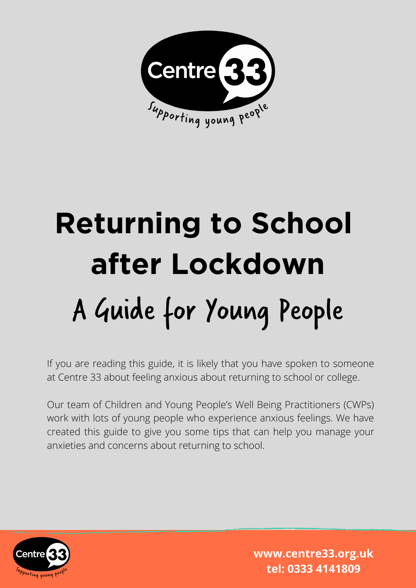

# **Returning to School after Lockdown** A Guide for Young People

If you are reading this guide, it is likely that you have spoken to someone at Centre 33 about feeling anxious about returning to school or college.

Our team of Children and Young People's Well Being Practitioners (CWPs) work with lots of young people who experience anxious feelings. We have created this guide to give you some tips that can help you manage your anxieties and concerns about returning to school.

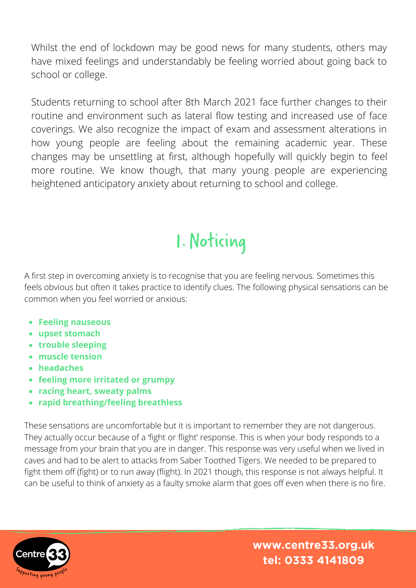Whilst the end of lockdown may be good news for many students, others may have mixed feelings and understandably be feeling worried about going back to school or college.

Students returning to school after 8th March 2021 face further changes to their routine and environment such as lateral flow testing and increased use of face coverings. We also recognize the impact of exam and assessment alterations in how young people are feeling about the remaining academic year. These changes may be unsettling at first, although hopefully will quickly begin to feel more routine. We know though, that many young people are experiencing heightened anticipatory anxiety about returning to school and college.

## 1.Noticing

A first step in overcoming anxiety is to recognise that you are feeling nervous. Sometimes this feels obvious but often it takes practice to identify clues. The following physical sensations can be common when you feel worried or anxious:

- **Feeling nauseous**
- **upset stomach**
- **trouble sleeping**
- **muscle tension**
- **headaches**
- **feeling more irritated or grumpy**
- **racing heart, sweaty palms**
- **rapid breathing/feeling breathless**

These sensations are uncomfortable but it is important to remember they are not dangerous. They actually occur because of a 'fight or flight' response. This is when your body responds to a message from your brain that you are in danger. This response was very useful when we lived in caves and had to be alert to attacks from Saber Toothed Tigers. We needed to be prepared to fight them off (fight) or to run away (flight). In 2021 though, this response is not always helpful. It can be useful to think of anxiety as a faulty smoke alarm that goes off even when there is no fire.

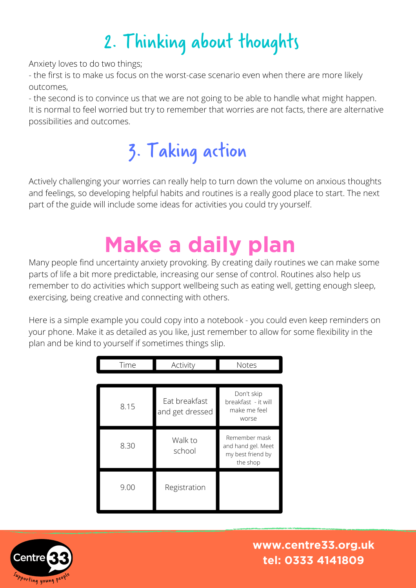# 2. Thinking about thoughts

Anxiety loves to do two things;

- the first is to make us focus on the worst-case scenario even when there are more likely outcomes,

- the second is to convince us that we are not going to be able to handle what might happen. It is normal to feel worried but try to remember that worries are not facts, there are alternative possibilities and outcomes.

# 3. Taking action

Actively challenging your worries can really help to turn down the volume on anxious thoughts and feelings, so developing helpful habits and routines is a really good place to start. The next part of the guide will include some ideas for activities you could try yourself.

# **Make a daily plan**

Many people find uncertainty anxiety provoking. By creating daily routines we can make some parts of life a bit more predictable, increasing our sense of control. Routines also help us remember to do activities which support wellbeing such as eating well, getting enough sleep, exercising, being creative and connecting with others.

Here is a simple example you could copy into a notebook - you could even keep reminders on your phone. Make it as detailed as you like, just remember to allow for some flexibility in the plan and be kind to yourself if sometimes things slip.

| Time | Activity                         | <b>Notes</b>                                                         |  |  |  |  |  |  |
|------|----------------------------------|----------------------------------------------------------------------|--|--|--|--|--|--|
|      |                                  |                                                                      |  |  |  |  |  |  |
| 8.15 | Eat breakfast<br>and get dressed | Don't skip<br>breakfast - it will<br>make me feel<br>worse           |  |  |  |  |  |  |
| 8.30 | Walk to<br>school                | Remember mask<br>and hand gel. Meet<br>my best friend by<br>the shop |  |  |  |  |  |  |
| 9.00 | Registration                     |                                                                      |  |  |  |  |  |  |

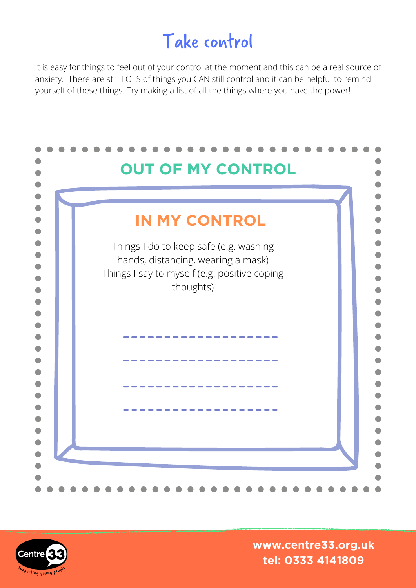#### Take control

It is easy for things to feel out of your control at the moment and this can be a real source of anxiety. There are still LOTS of things you CAN still control and it can be helpful to remind yourself of these things. Try making a list of all the things where you have the power!



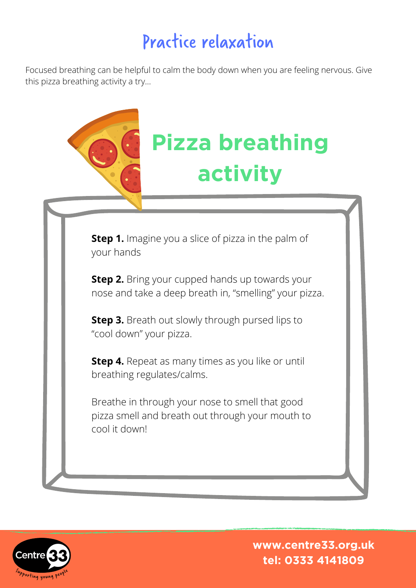#### Practice relaxation

Focused breathing can be helpful to calm the body down when you are feeling nervous. Give this pizza breathing activity a try…



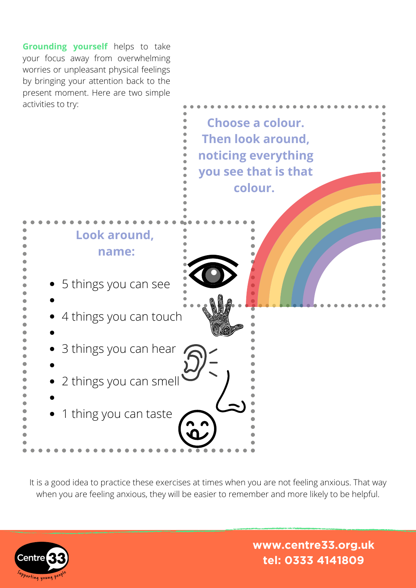**Grounding yourself** helps to take your focus away from overwhelming worries or unpleasant physical feelings by bringing your attention back to the present moment. Here are two simple activities to try:



It is a good idea to practice these exercises at times when you are not feeling anxious. That way when you are feeling anxious, they will be easier to remember and more likely to be helpful.

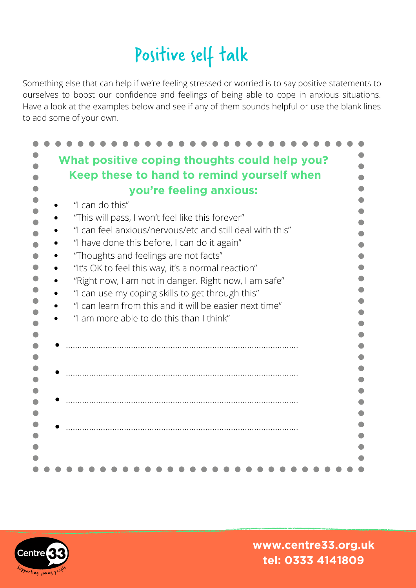## Positive self talk

Something else that can help if we're feeling stressed or worried is to say positive statements to ourselves to boost our confidence and feelings of being able to cope in anxious situations. Have a look at the examples below and see if any of them sounds helpful or use the blank lines to add some of your own.

| What positive coping thoughts could help you?             |  |
|-----------------------------------------------------------|--|
|                                                           |  |
| Keep these to hand to remind yourself when                |  |
| you're feeling anxious:                                   |  |
| "I can do this"                                           |  |
| "This will pass, I won't feel like this forever"          |  |
| "I can feel anxious/nervous/etc and still deal with this" |  |
|                                                           |  |
| "I have done this before, I can do it again"              |  |
| "Thoughts and feelings are not facts"                     |  |
| "It's OK to feel this way, it's a normal reaction"        |  |
| "Right now, I am not in danger. Right now, I am safe"     |  |
| "I can use my coping skills to get through this"          |  |
| "I can learn from this and it will be easier next time"   |  |
| "I am more able to do this than I think"                  |  |
|                                                           |  |
|                                                           |  |
|                                                           |  |
|                                                           |  |
|                                                           |  |
|                                                           |  |
|                                                           |  |
|                                                           |  |
|                                                           |  |
|                                                           |  |
|                                                           |  |
|                                                           |  |
|                                                           |  |

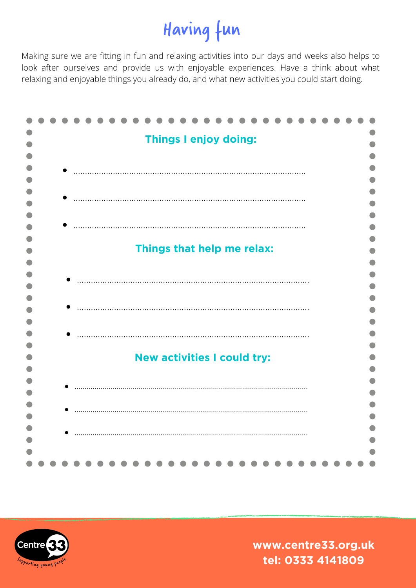# Having fun

Making sure we are fitting in fun and relaxing activities into our days and weeks also helps to look after ourselves and provide us with enjoyable experiences. Have a think about what relaxing and enjoyable things you already do, and what new activities you could start doing.

|  |  |  |  |  |  |  |  |  | <b>Things I enjoy doing:</b> |                                    |  |  |  |  |  |
|--|--|--|--|--|--|--|--|--|------------------------------|------------------------------------|--|--|--|--|--|
|  |  |  |  |  |  |  |  |  |                              |                                    |  |  |  |  |  |
|  |  |  |  |  |  |  |  |  |                              |                                    |  |  |  |  |  |
|  |  |  |  |  |  |  |  |  |                              |                                    |  |  |  |  |  |
|  |  |  |  |  |  |  |  |  |                              |                                    |  |  |  |  |  |
|  |  |  |  |  |  |  |  |  |                              |                                    |  |  |  |  |  |
|  |  |  |  |  |  |  |  |  |                              |                                    |  |  |  |  |  |
|  |  |  |  |  |  |  |  |  |                              |                                    |  |  |  |  |  |
|  |  |  |  |  |  |  |  |  |                              |                                    |  |  |  |  |  |
|  |  |  |  |  |  |  |  |  |                              | Things that help me relax:         |  |  |  |  |  |
|  |  |  |  |  |  |  |  |  |                              |                                    |  |  |  |  |  |
|  |  |  |  |  |  |  |  |  |                              |                                    |  |  |  |  |  |
|  |  |  |  |  |  |  |  |  |                              |                                    |  |  |  |  |  |
|  |  |  |  |  |  |  |  |  |                              |                                    |  |  |  |  |  |
|  |  |  |  |  |  |  |  |  |                              |                                    |  |  |  |  |  |
|  |  |  |  |  |  |  |  |  |                              |                                    |  |  |  |  |  |
|  |  |  |  |  |  |  |  |  |                              |                                    |  |  |  |  |  |
|  |  |  |  |  |  |  |  |  |                              |                                    |  |  |  |  |  |
|  |  |  |  |  |  |  |  |  |                              | <b>New activities I could try:</b> |  |  |  |  |  |
|  |  |  |  |  |  |  |  |  |                              |                                    |  |  |  |  |  |
|  |  |  |  |  |  |  |  |  |                              |                                    |  |  |  |  |  |
|  |  |  |  |  |  |  |  |  |                              |                                    |  |  |  |  |  |
|  |  |  |  |  |  |  |  |  |                              |                                    |  |  |  |  |  |
|  |  |  |  |  |  |  |  |  |                              |                                    |  |  |  |  |  |
|  |  |  |  |  |  |  |  |  |                              |                                    |  |  |  |  |  |
|  |  |  |  |  |  |  |  |  |                              |                                    |  |  |  |  |  |
|  |  |  |  |  |  |  |  |  |                              |                                    |  |  |  |  |  |
|  |  |  |  |  |  |  |  |  |                              |                                    |  |  |  |  |  |

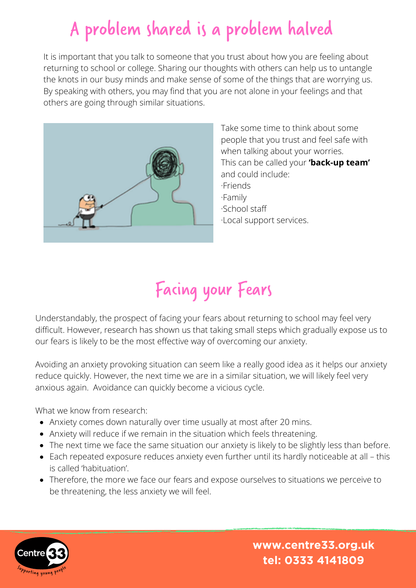### A problem shared is a problem halved

It is important that you talk to someone that you trust about how you are feeling about returning to school or college. Sharing our thoughts with others can help us to untangle the knots in our busy minds and make sense of some of the things that are worrying us. By speaking with others, you may find that you are not alone in your feelings and that others are going through similar situations.



Take some time to think about some people that you trust and feel safe with when talking about your worries. This can be called your **'back-up team'** and could include: ·Friends ·Family ·School staff ·Local support services.

## Facing your Fears

Understandably, the prospect of facing your fears about returning to school may feel very difficult. However, research has shown us that taking small steps which gradually expose us to our fears is likely to be the most effective way of overcoming our anxiety.

Avoiding an anxiety provoking situation can seem like a really good idea as it helps our anxiety reduce quickly. However, the next time we are in a similar situation, we will likely feel very anxious again. Avoidance can quickly become a vicious cycle.

What we know from research:

- Anxiety comes down naturally over time usually at most after 20 mins.
- Anxiety will reduce if we remain in the situation which feels threatening.
- The next time we face the same situation our anxiety is likely to be slightly less than before.
- Each repeated exposure reduces anxiety even further until its hardly noticeable at all this is called 'habituation'.
- Therefore, the more we face our fears and expose ourselves to situations we perceive to be threatening, the less anxiety we will feel.